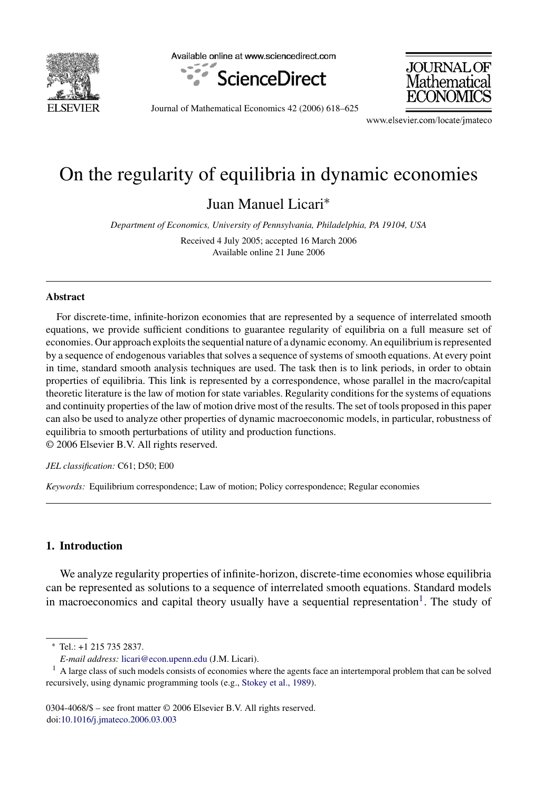

Available online at www.sciencedirect.com



**JOURNAL OF** Mathematical

Journal of Mathematical Economics 42 (2006) 618–625

www.elsevier.com/locate/jmateco

# On the regularity of equilibria in dynamic economies

Juan Manuel Licari<sup>∗</sup>

*Department of Economics, University of Pennsylvania, Philadelphia, PA 19104, USA*

Received 4 July 2005; accepted 16 March 2006 Available online 21 June 2006

#### **Abstract**

For discrete-time, infinite-horizon economies that are represented by a sequence of interrelated smooth equations, we provide sufficient conditions to guarantee regularity of equilibria on a full measure set of economies. Our approach exploits the sequential nature of a dynamic economy. An equilibrium is represented by a sequence of endogenous variables that solves a sequence of systems of smooth equations. At every point in time, standard smooth analysis techniques are used. The task then is to link periods, in order to obtain properties of equilibria. This link is represented by a correspondence, whose parallel in the macro/capital theoretic literature is the law of motion for state variables. Regularity conditions for the systems of equations and continuity properties of the law of motion drive most of the results. The set of tools proposed in this paper can also be used to analyze other properties of dynamic macroeconomic models, in particular, robustness of equilibria to smooth perturbations of utility and production functions. © 2006 Elsevier B.V. All rights reserved.

*JEL classification:* C61; D50; E00

*Keywords:* Equilibrium correspondence; Law of motion; Policy correspondence; Regular economies

### **1. Introduction**

We analyze regularity properties of infinite-horizon, discrete-time economies whose equilibria can be represented as solutions to a sequence of interrelated smooth equations. Standard models in macroeconomics and capital theory usually have a sequential representation<sup>1</sup>. The study of

<sup>∗</sup> Tel.: +1 215 735 2837.

*E-mail address:* [licari@econ.upenn.edu](mailto:licari@econ.upenn.edu) (J.M. Licari).

 $<sup>1</sup>$  A large class of such models consists of economies where the agents face an intertemporal problem that can be solved</sup> recursively, using dynamic programming tools (e.g., [Stokey et al., 1989\).](#page--1-0)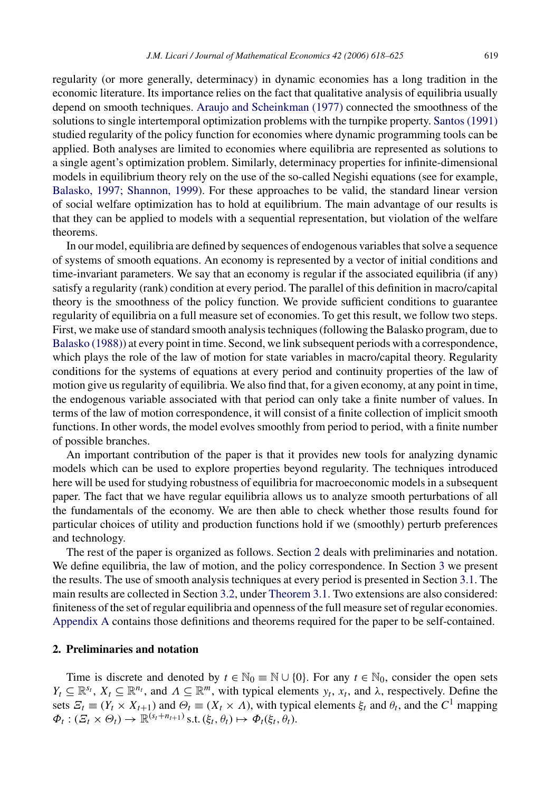regularity (or more generally, determinacy) in dynamic economies has a long tradition in the economic literature. Its importance relies on the fact that qualitative analysis of equilibria usually depend on smooth techniques. [Araujo and Scheinkman \(1977\)](#page--1-0) connected the smoothness of the solutions to single intertemporal optimization problems with the turnpike property. [Santos \(1991\)](#page--1-0) studied regularity of the policy function for economies where dynamic programming tools can be applied. Both analyses are limited to economies where equilibria are represented as solutions to a single agent's optimization problem. Similarly, determinacy properties for infinite-dimensional models in equilibrium theory rely on the use of the so-called Negishi equations (see for example, [Balasko, 1997; Shannon, 1999\).](#page--1-0) For these approaches to be valid, the standard linear version of social welfare optimization has to hold at equilibrium. The main advantage of our results is that they can be applied to models with a sequential representation, but violation of the welfare theorems.

In our model, equilibria are defined by sequences of endogenous variables that solve a sequence of systems of smooth equations. An economy is represented by a vector of initial conditions and time-invariant parameters. We say that an economy is regular if the associated equilibria (if any) satisfy a regularity (rank) condition at every period. The parallel of this definition in macro/capital theory is the smoothness of the policy function. We provide sufficient conditions to guarantee regularity of equilibria on a full measure set of economies. To get this result, we follow two steps. First, we make use of standard smooth analysis techniques (following the Balasko program, due to [Balasko \(1988\)\)](#page--1-0) at every point in time. Second, we link subsequent periods with a correspondence, which plays the role of the law of motion for state variables in macro/capital theory. Regularity conditions for the systems of equations at every period and continuity properties of the law of motion give us regularity of equilibria. We also find that, for a given economy, at any point in time, the endogenous variable associated with that period can only take a finite number of values. In terms of the law of motion correspondence, it will consist of a finite collection of implicit smooth functions. In other words, the model evolves smoothly from period to period, with a finite number of possible branches.

An important contribution of the paper is that it provides new tools for analyzing dynamic models which can be used to explore properties beyond regularity. The techniques introduced here will be used for studying robustness of equilibria for macroeconomic models in a subsequent paper. The fact that we have regular equilibria allows us to analyze smooth perturbations of all the fundamentals of the economy. We are then able to check whether those results found for particular choices of utility and production functions hold if we (smoothly) perturb preferences and technology.

The rest of the paper is organized as follows. Section 2 deals with preliminaries and notation. We define equilibria, the law of motion, and the policy correspondence. In Section [3](#page--1-0) we present the results. The use of smooth analysis techniques at every period is presented in Section [3.1. T](#page--1-0)he main results are collected in Section [3.2, u](#page--1-0)nder [Theorem 3.1. T](#page--1-0)wo extensions are also considered: finiteness of the set of regular equilibria and openness of the full measure set of regular economies. [Appendix A](#page--1-0) contains those definitions and theorems required for the paper to be self-contained.

#### **2. Preliminaries and notation**

Time is discrete and denoted by  $t \in \mathbb{N}_0 \equiv \mathbb{N} \cup \{0\}$ . For any  $t \in \mathbb{N}_0$ , consider the open sets  $Y_t \subseteq \mathbb{R}^{s_t}$ ,  $X_t \subseteq \mathbb{R}^{n_t}$ , and  $\Lambda \subseteq \mathbb{R}^m$ , with typical elements  $y_t$ ,  $x_t$ , and  $\lambda$ , respectively. Define the sets  $\mathcal{Z}_t \equiv (Y_t \times X_{t+1})$  and  $\Theta_t \equiv (X_t \times \Lambda)$ , with typical elements  $\xi_t$  and  $\theta_t$ , and the  $C^1$  mapping  $\Phi_t: (\mathcal{Z}_t \times \Theta_t) \to \mathbb{R}^{(s_t + n_{t+1})}$  s.t.  $(\xi_t, \theta_t) \mapsto \Phi_t(\xi_t, \theta_t)$ .